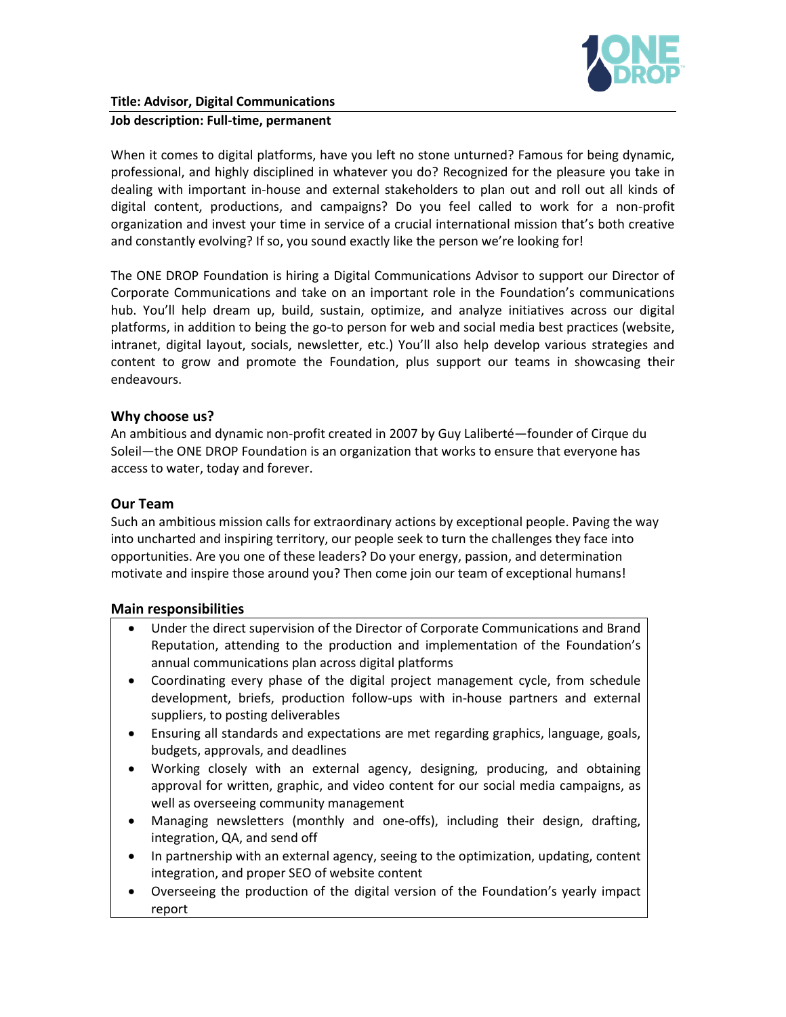

### **Job description: Full-time, permanent**

When it comes to digital platforms, have you left no stone unturned? Famous for being dynamic, professional, and highly disciplined in whatever you do? Recognized for the pleasure you take in dealing with important in-house and external stakeholders to plan out and roll out all kinds of digital content, productions, and campaigns? Do you feel called to work for a non-profit organization and invest your time in service of a crucial international mission that's both creative and constantly evolving? If so, you sound exactly like the person we're looking for!

The ONE DROP Foundation is hiring a Digital Communications Advisor to support our Director of Corporate Communications and take on an important role in the Foundation's communications hub. You'll help dream up, build, sustain, optimize, and analyze initiatives across our digital platforms, in addition to being the go-to person for web and social media best practices (website, intranet, digital layout, socials, newsletter, etc.) You'll also help develop various strategies and content to grow and promote the Foundation, plus support our teams in showcasing their endeavours.

## **Why choose us?**

An ambitious and dynamic non-profit created in 2007 by Guy Laliberté—founder of Cirque du Soleil—the ONE DROP Foundation is an organization that works to ensure that everyone has access to water, today and forever.

## **Our Team**

Such an ambitious mission calls for extraordinary actions by exceptional people. Paving the way into uncharted and inspiring territory, our people seek to turn the challenges they face into opportunities. Are you one of these leaders? Do your energy, passion, and determination motivate and inspire those around you? Then come join our team of exceptional humans!

### **Main responsibilities**

- Under the direct supervision of the Director of Corporate Communications and Brand Reputation, attending to the production and implementation of the Foundation's annual communications plan across digital platforms
- Coordinating every phase of the digital project management cycle, from schedule development, briefs, production follow-ups with in-house partners and external suppliers, to posting deliverables
- Ensuring all standards and expectations are met regarding graphics, language, goals, budgets, approvals, and deadlines
- Working closely with an external agency, designing, producing, and obtaining approval for written, graphic, and video content for our social media campaigns, as well as overseeing community management
- Managing newsletters (monthly and one-offs), including their design, drafting, integration, QA, and send off
- In partnership with an external agency, seeing to the optimization, updating, content integration, and proper SEO of website content
- Overseeing the production of the digital version of the Foundation's yearly impact report